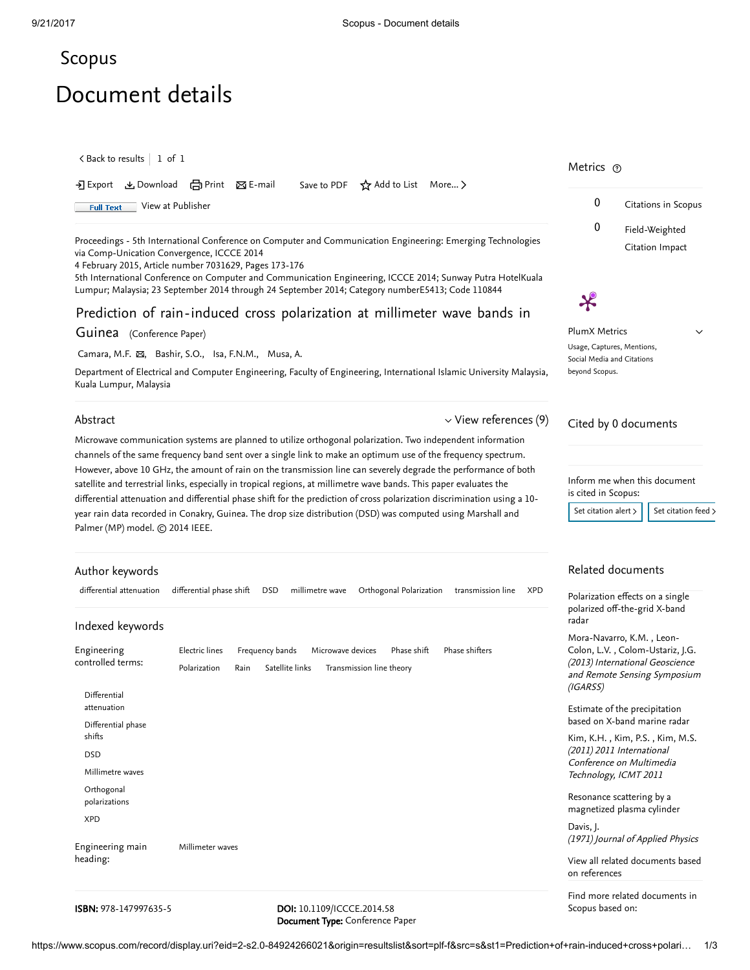## <span id="page-0-0"></span>[Scopus](https://www.scopus.com/home.uri?zone=header&origin=searchbasic)

# Document details

 $\, <$  Back to [results](https://www.scopus.com/results/results.uri?sort=plf-f&src=s&st1=Prediction+of+rain-induced+cross+polarization+at+millimeter+wave+bands+in+guinea&st2=&sid=8274b52a87326f953a0d965481ebef30&sot=b&sdt=b&sl=87&s=TITLE%28Prediction+of+rain-induced+cross+polarization+at+millimeter+wave+bands+in+guinea%29&offset=1&origin=recordpage)  $\, \mid\, 1\,$  of  $\, 1$ 

|                                                                       | Metrics ®           |
|-----------------------------------------------------------------------|---------------------|
| → Export & Download 금 Print ⊠ E-mail Save to PDF ☆ Add to List More > |                     |
| 1 View at Publisher<br><b>Full Text</b>                               | Citations in Scopus |
|                                                                       | Field-Weighted      |

Proceedings - 5th International Conference on Computer and Communication Engineering: Emerging Technologies via Comp-Unication Convergence, ICCCE 2014

4 February 2015, Article number 7031629, Pages 173-176

5th International Conference on Computer and Communication Engineering, ICCCE 2014; Sunway Putra HotelKuala Lumpur; Malaysia; 23 September 2014 through 24 September 2014; Category numberE5413; Code 110844

## Prediction of rain-induced cross polarization at millimeter wave bands in

#### Guinea (Conference Paper)

[Camara,](https://www.scopus.com/authid/detail.uri?authorId=56539431900&eid=2-s2.0-84924266021) M.F.  $\boxtimes$ , [Bashir,](https://www.scopus.com/authid/detail.uri?authorId=7005333428&eid=2-s2.0-84924266021) S.O., Isa, [F.N.M.](https://www.scopus.com/authid/detail.uri?authorId=55511008700&eid=2-s2.0-84924266021), [Musa,](https://www.scopus.com/authid/detail.uri?authorId=55805016500&eid=2-s2.0-84924266021) A.

Department of Electrical and Computer Engineering, Faculty of Engineering, International Islamic University Malaysia, Kuala Lumpur, Malaysia

#### Abstract

 $\vee$  View [references](#page-1-0) (9)

Microwave communication systems are planned to utilize orthogonal polarization. Two independent information channels of the same frequency band sent over a single link to make an optimum use of the frequency spectrum. However, above 10 GHz, the amount of rain on the transmission line can severely degrade the performance of both satellite and terrestrial links, especially in tropical regions, at millimetre wave bands. This paper evaluates the differential attenuation and differential phase shift for the prediction of cross polarization discrimination using a 10 year rain data recorded in Conakry, Guinea. The drop size distribution (DSD) was computed using Marshall and Palmer (MP) model. © 2014 IEEE.

#### Author keywords

| differential attenuation                             | differential phase shift<br>millimetre wave<br>Orthogonal Polarization<br><b>DSD</b><br>transmission line<br><b>XPD</b>                                        | Polarizatio<br>polarized<br>radar                   |
|------------------------------------------------------|----------------------------------------------------------------------------------------------------------------------------------------------------------------|-----------------------------------------------------|
| Indexed keywords<br>Engineering<br>controlled terms: | Electric lines<br>Frequency bands<br>Microwave devices<br>Phase shift<br>Phase shifters<br>Satellite links<br>Polarization<br>Transmission line theory<br>Rain | Mora-Nav<br>Colon, L.V<br>$(2013)$ Inte<br>and Remo |
| Differential<br>attenuation                          |                                                                                                                                                                | (IGARSS)<br>Estimate c                              |
| Differential phase                                   |                                                                                                                                                                | based on >                                          |
| shifts                                               |                                                                                                                                                                | Kim, K.H.                                           |
| <b>DSD</b>                                           |                                                                                                                                                                | (2011) 201<br>Conferenc                             |
| Millimetre waves                                     |                                                                                                                                                                | Technolog                                           |
| Orthogonal<br>polarizations                          |                                                                                                                                                                | Resonance<br>magnetize                              |
| <b>XPD</b>                                           |                                                                                                                                                                | Davis, J.<br>(1971) Jou                             |
| Engineering main                                     | Millimeter waves                                                                                                                                               |                                                     |
| heading:                                             |                                                                                                                                                                | View all re<br>on referen                           |
|                                                      |                                                                                                                                                                | Eind more                                           |

#### **ISBN:** 978-147997635-5 **DOI:** 10.1109/ICCCE.2014.58

Document Type: Conference Paper

PlumX Metrics Usage, Captures, Mentions, Social Media and Citations beyond Scopus. Cited by 0 documents  $\checkmark$ 

 $\boldsymbol{\varkappa}$ 

Citation Impact

Inform me when this document is cited in Scopus:

Set [citation](https://www.scopus.com/results/rss/handler.uri?citeEid=2-s2.0-84924266021) alert  $>$   $\vert$  Set citation feed  $>$ 

### Related documents

n effects on a single [off-the-grid](https://www.scopus.com/record/display.uri?origin=recordpage&zone=relatedDocuments&eid=2-s2.0-84894275821&citeCnt=0&noHighlight=false&sort=plf-f&src=s&st1=Prediction+of+rain-induced+cross+polarization+at+millimeter+wave+bands+in+guinea&st2=&sid=8274b52a87326f953a0d965481ebef30&sot=b&sdt=b&sl=87&s=TITLE%28Prediction+of+rain-induced+cross+polarization+at+millimeter+wave+bands+in+guinea%29&relpos=0) X-band

, [Mora-Navarro,](https://www.scopus.com/authid/detail.uri?origin=recordpage&authorId=56041779500&zone=relatedDocuments) K.M. Leon-, Colon, L.V. [Colom-Ustariz,](https://www.scopus.com/authid/detail.uri?origin=recordpage&authorId=6507516070&zone=relatedDocuments) J.G. ernational Geoscience te Sensing Symposium

of the [precipitation](https://www.scopus.com/record/display.uri?origin=recordpage&zone=relatedDocuments&eid=2-s2.0-80052941222&citeCnt=0&noHighlight=false&sort=plf-f&src=s&st1=Prediction+of+rain-induced+cross+polarization+at+millimeter+wave+bands+in+guinea&st2=&sid=8274b52a87326f953a0d965481ebef30&sot=b&sdt=b&sl=87&s=TITLE%28Prediction+of+rain-induced+cross+polarization+at+millimeter+wave+bands+in+guinea%29&relpos=1) **X-band marine radar** 

[Kim,](https://www.scopus.com/authid/detail.uri?origin=recordpage&authorId=56896232400&zone=relatedDocuments) K.H. , Kim, P.S. , Kim, M.S. 1 International ce on Multimedia ty, ICMT 2011

e scattering by a d plasma cylinder

rnal of Applied Physics

lated [documents](https://www.scopus.com/search/submit/mlt.uri?eid=2-s2.0-84924266021&src=s&all=true&origin=recordpage&method=ref&zone=relatedDocuments) based  $res$ 

Find more related documents in Scopus based on: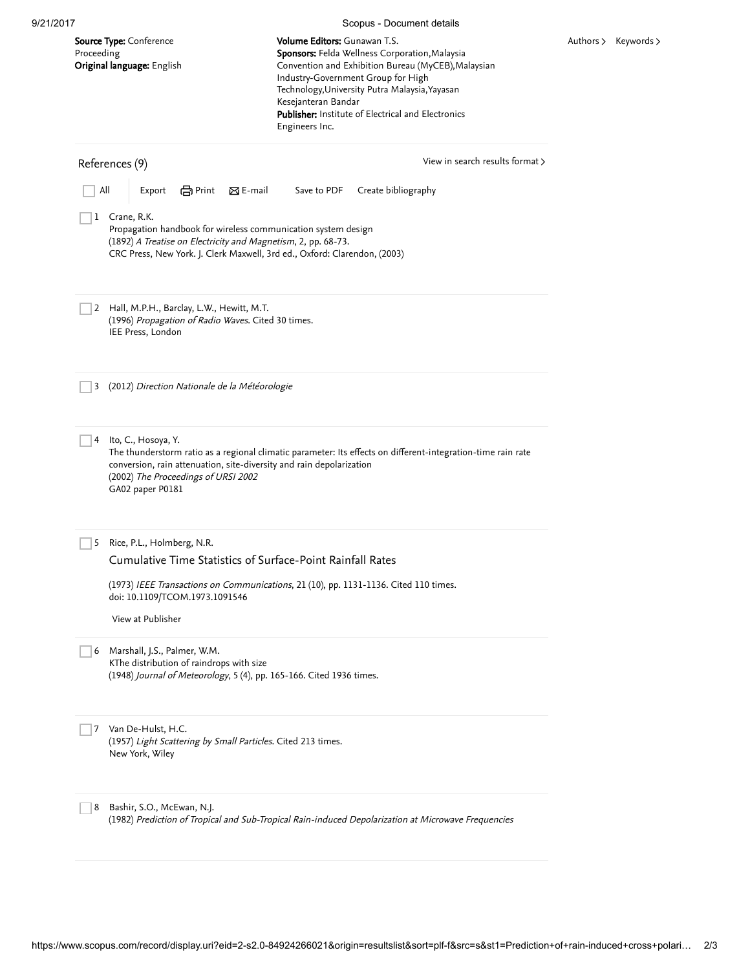<span id="page-1-0"></span>

|                                                                                                                                                                                                                              | Scopus - Document details                                                                                                                                                                                                                                                                                                    |                      |
|------------------------------------------------------------------------------------------------------------------------------------------------------------------------------------------------------------------------------|------------------------------------------------------------------------------------------------------------------------------------------------------------------------------------------------------------------------------------------------------------------------------------------------------------------------------|----------------------|
| <b>Source Type:</b> Conference<br>Proceeding<br>Original language: English                                                                                                                                                   | Volume Editors: Gunawan T.S.<br>Sponsors: Felda Wellness Corporation, Malaysia<br>Convention and Exhibition Bureau (MyCEB), Malaysian<br>Industry-Government Group for High<br>Technology, University Putra Malaysia, Yayasan<br>Kesejanteran Bandar<br>Publisher: Institute of Electrical and Electronics<br>Engineers Inc. | Authors > Keywords > |
| References (9)                                                                                                                                                                                                               | View in search results format >                                                                                                                                                                                                                                                                                              |                      |
| All<br><b>合</b> Print<br>$\boxtimes$ E-mail<br>Export                                                                                                                                                                        | Create bibliography<br>Save to PDF                                                                                                                                                                                                                                                                                           |                      |
| 1 Crane, R.K.<br>Propagation handbook for wireless communication system design<br>(1892) A Treatise on Electricity and Magnetism, 2, pp. 68-73.<br>CRC Press, New York. J. Clerk Maxwell, 3rd ed., Oxford: Clarendon, (2003) |                                                                                                                                                                                                                                                                                                                              |                      |
| 2 Hall, M.P.H., Barclay, L.W., Hewitt, M.T.<br>(1996) Propagation of Radio Waves. Cited 30 times.<br>IEE Press, London                                                                                                       |                                                                                                                                                                                                                                                                                                                              |                      |
| (2012) Direction Nationale de la Météorologie<br>3                                                                                                                                                                           |                                                                                                                                                                                                                                                                                                                              |                      |
| 4 Ito, C., Hosoya, Y.<br>conversion, rain attenuation, site-diversity and rain depolarization<br>(2002) The Proceedings of URSI 2002<br>GA02 paper P0181                                                                     | The thunderstorm ratio as a regional climatic parameter: Its effects on different-integration-time rain rate                                                                                                                                                                                                                 |                      |
| Rice, P.L., Holmberg, N.R.<br>5<br>Cumulative Time Statistics of Surface-Point Rainfall Rates                                                                                                                                |                                                                                                                                                                                                                                                                                                                              |                      |
| doi: 10.1109/TCOM.1973.1091546                                                                                                                                                                                               | (1973) IEEE Transactions on Communications, 21 (10), pp. 1131-1136. Cited 110 times.                                                                                                                                                                                                                                         |                      |
| View at Publisher                                                                                                                                                                                                            |                                                                                                                                                                                                                                                                                                                              |                      |
| 6 Marshall, J.S., Palmer, W.M.<br>KThe distribution of raindrops with size<br>(1948) Journal of Meteorology, 5 (4), pp. 165-166. Cited 1936 times.                                                                           |                                                                                                                                                                                                                                                                                                                              |                      |
|                                                                                                                                                                                                                              |                                                                                                                                                                                                                                                                                                                              |                      |
| Van De-Hulst, H.C.<br>7<br>(1957) Light Scattering by Small Particles. Cited 213 times.<br>New York, Wiley                                                                                                                   |                                                                                                                                                                                                                                                                                                                              |                      |